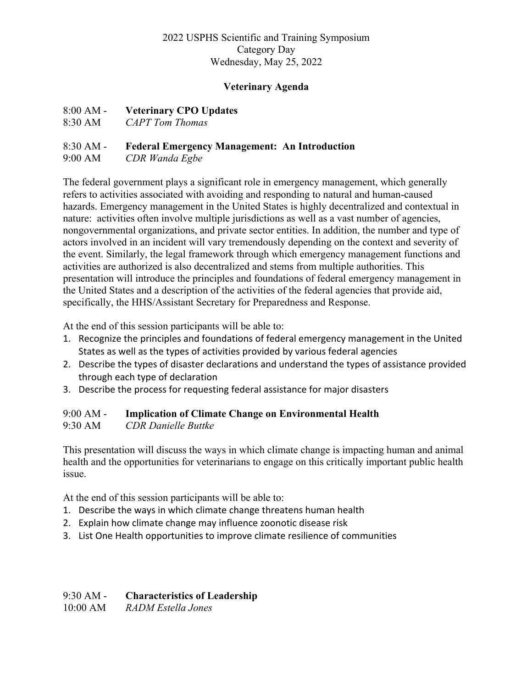#### 2022 USPHS Scientific and Training Symposium Category Day Wednesday, May 25, 2022

#### **Veterinary Agenda**

#### 8:00 AM - **Veterinary CPO Updates**

8:30 AM *CAPT Tom Thomas* 

#### 8:30 AM - **Federal Emergency Management: An Introduction**

9:00 AM *CDR Wanda Egbe* 

The federal government plays a significant role in emergency management, which generally refers to activities associated with avoiding and responding to natural and human-caused hazards. Emergency management in the United States is highly decentralized and contextual in nature: activities often involve multiple jurisdictions as well as a vast number of agencies, nongovernmental organizations, and private sector entities. In addition, the number and type of actors involved in an incident will vary tremendously depending on the context and severity of the event. Similarly, the legal framework through which emergency management functions and activities are authorized is also decentralized and stems from multiple authorities. This presentation will introduce the principles and foundations of federal emergency management in the United States and a description of the activities of the federal agencies that provide aid, specifically, the HHS/Assistant Secretary for Preparedness and Response.

At the end of this session participants will be able to:

- 1. Recognize the principles and foundations of federal emergency management in the United States as well as the types of activities provided by various federal agencies
- 2. Describe the types of disaster declarations and understand the types of assistance provided through each type of declaration
- 3. Describe the process for requesting federal assistance for major disasters

# 9:00 AM - **Implication of Climate Change on Environmental Health**

#### 9:30 AM *CDR Danielle Buttke*

This presentation will discuss the ways in which climate change is impacting human and animal health and the opportunities for veterinarians to engage on this critically important public health issue.

At the end of this session participants will be able to:

- 1. Describe the ways in which climate change threatens human health
- 2. Explain how climate change may influence zoonotic disease risk
- 3. List One Health opportunities to improve climate resilience of communities

## 9:30 AM - **Characteristics of Leadership**

10:00 AM *RADM Estella Jones*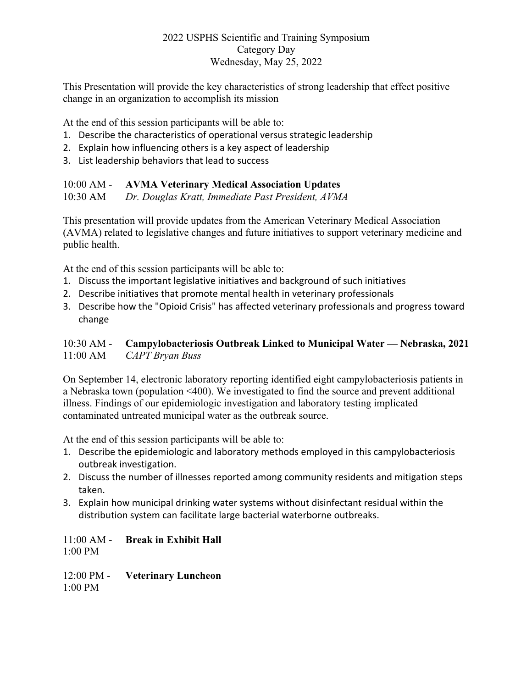#### 2022 USPHS Scientific and Training Symposium Category Day Wednesday, May 25, 2022

This Presentation will provide the key characteristics of strong leadership that effect positive change in an organization to accomplish its mission

At the end of this session participants will be able to:

- 1. Describe the characteristics of operational versus strategic leadership
- 2. Explain how influencing others is a key aspect of leadership
- 3. List leadership behaviors that lead to success

### 10:00 AM - **AVMA Veterinary Medical Association Updates**

10:30 AM *Dr. Douglas Kratt, Immediate Past President, AVMA*

This presentation will provide updates from the American Veterinary Medical Association (AVMA) related to legislative changes and future initiatives to support veterinary medicine and public health.

At the end of this session participants will be able to:

- 1. Discuss the important legislative initiatives and background of such initiatives
- 2. Describe initiatives that promote mental health in veterinary professionals
- 3. Describe how the "Opioid Crisis" has affected veterinary professionals and progress toward change

### 10:30 AM - **Campylobacteriosis Outbreak Linked to Municipal Water — Nebraska, 2021** 11:00 AM *CAPT Bryan Buss*

On September 14, electronic laboratory reporting identified eight campylobacteriosis patients in a Nebraska town (population <400). We investigated to find the source and prevent additional illness. Findings of our epidemiologic investigation and laboratory testing implicated contaminated untreated municipal water as the outbreak source.

At the end of this session participants will be able to:

- 1. Describe the epidemiologic and laboratory methods employed in this campylobacteriosis outbreak investigation.
- 2. Discuss the number of illnesses reported among community residents and mitigation steps taken.
- 3. Explain how municipal drinking water systems without disinfectant residual within the distribution system can facilitate large bacterial waterborne outbreaks.

11:00 AM - **Break in Exhibit Hall** 1:00 PM

12:00 PM - **Veterinary Luncheon** 1:00 PM